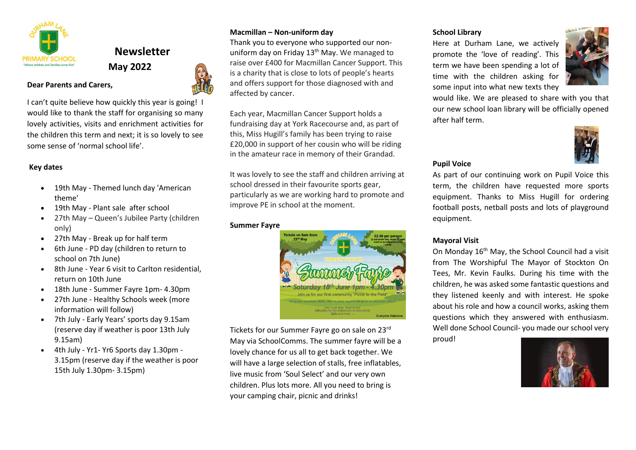

**Dear Parents and Carers,** 

# **Newsletter May 2022**



I can't quite believe how quickly this year is going! I would like to thank the staff for organising so many lovely activities, visits and enrichment activities for the children this term and next; it is so lovely to see some sense of 'normal school life'.

### **Key dates**

- 19th May Themed lunch day 'American theme'
- 19th May Plant sale after school
- 27th May Queen's Jubilee Party (children only)
- 27th May Break up for half term
- 6th June PD day (children to return to school on 7th June)
- 8th June Year 6 visit to Carlton residential, return on 10th June
- 18th June Summer Fayre 1pm- 4.30pm
- 27th June Healthy Schools week (more information will follow)
- 7th July Early Years' sports day 9.15am (reserve day if weather is poor 13th July 9.15am)
- 4th July Yr1- Yr6 Sports day 1.30pm 3.15pm (reserve day if the weather is poor 15th July 1.30pm- 3.15pm)

# **Macmillan – Non-uniform day**

Thank you to everyone who supported our nonuniform day on Friday  $13<sup>th</sup>$  May. We managed to raise over £400 for Macmillan Cancer Support. This is a charity that is close to lots of people's hearts and offers support for those diagnosed with and affected by cancer.

Each year, Macmillan Cancer Support holds a fundraising day at York Racecourse and, as part of this, Miss Hugill's family has been trying to raise £20,000 in support of her cousin who will be riding in the amateur race in memory of their Grandad.

It was lovely to see the staff and children arriving at school dressed in their favourite sports gear, particularly as we are working hard to promote and improve PE in school at the moment.

#### **Summer Fayre**



Tickets for our Summer Fayre go on sale on 23rd May via SchoolComms. The summer fayre will be a lovely chance for us all to get back together. We will have a large selection of stalls, free inflatables, live music from 'Soul Select' and our very own children. Plus lots more. All you need to bring is your camping chair, picnic and drinks!

# **School Library**

Here at Durham Lane, we actively promote the 'love of reading'. This term we have been spending a lot of time with the children asking for some input into what new texts they



would like. We are pleased to share with you that our new school loan library will be officially opened after half term.



# **Pupil Voice**

As part of our continuing work on Pupil Voice this term, the children have requested more sports equipment. Thanks to Miss Hugill for ordering football posts, netball posts and lots of playground equipment.

## **Mayoral Visit**

On Monday 16th May, the School Council had a visit from The Worshipful The Mayor of Stockton On Tees, Mr. Kevin Faulks. During his time with the children, he was asked some fantastic questions and they listened keenly and with interest. He spoke about his role and how a council works, asking them questions which they answered with enthusiasm. Well done School Council- you made our school very

proud!